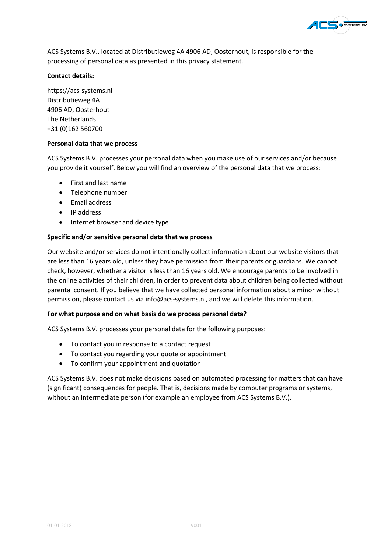

ACS Systems B.V., located at Distributieweg 4A 4906 AD, Oosterhout, is responsible for the processing of personal data as presented in this privacy statement.

# **Contact details:**

https://acs-systems.nl Distributieweg 4A 4906 AD, Oosterhout The Netherlands +31 (0)162 560700

## **Personal data that we process**

ACS Systems B.V. processes your personal data when you make use of our services and/or because you provide it yourself. Below you will find an overview of the personal data that we process:

- First and last name
- Telephone number
- Email address
- IP address
- Internet browser and device type

## **Specific and/or sensitive personal data that we process**

Our website and/or services do not intentionally collect information about our website visitors that are less than 16 years old, unless they have permission from their parents or guardians. We cannot check, however, whether a visitor is less than 16 years old. We encourage parents to be involved in the online activities of their children, in order to prevent data about children being collected without parental consent. If you believe that we have collected personal information about a minor without permission, please contact us via info@acs-systems.nl, and we will delete this information.

## **For what purpose and on what basis do we process personal data?**

ACS Systems B.V. processes your personal data for the following purposes:

- To contact you in response to a contact request
- To contact you regarding your quote or appointment
- To confirm your appointment and quotation

ACS Systems B.V. does not make decisions based on automated processing for matters that can have (significant) consequences for people. That is, decisions made by computer programs or systems, without an intermediate person (for example an employee from ACS Systems B.V.).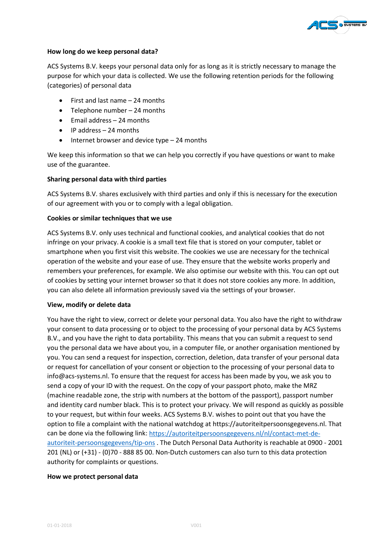

### **How long do we keep personal data?**

ACS Systems B.V. keeps your personal data only for as long as it is strictly necessary to manage the purpose for which your data is collected. We use the following retention periods for the following (categories) of personal data

- First and last name 24 months
- Telephone number 24 months
- Email address 24 months
- IP address 24 months
- Internet browser and device type 24 months

We keep this information so that we can help you correctly if you have questions or want to make use of the guarantee.

### **Sharing personal data with third parties**

ACS Systems B.V. shares exclusively with third parties and only if this is necessary for the execution of our agreement with you or to comply with a legal obligation.

### **Cookies or similar techniques that we use**

ACS Systems B.V. only uses technical and functional cookies, and analytical cookies that do not infringe on your privacy. A cookie is a small text file that is stored on your computer, tablet or smartphone when you first visit this website. The cookies we use are necessary for the technical operation of the website and your ease of use. They ensure that the website works properly and remembers your preferences, for example. We also optimise our website with this. You can opt out of cookies by setting your internet browser so that it does not store cookies any more. In addition, you can also delete all information previously saved via the settings of your browser.

#### **View, modify or delete data**

You have the right to view, correct or delete your personal data. You also have the right to withdraw your consent to data processing or to object to the processing of your personal data by ACS Systems B.V., and you have the right to data portability. This means that you can submit a request to send you the personal data we have about you, in a computer file, or another organisation mentioned by you. You can send a request for inspection, correction, deletion, data transfer of your personal data or request for cancellation of your consent or objection to the processing of your personal data to info@acs-systems.nl. To ensure that the request for access has been made by you, we ask you to send a copy of your ID with the request. On the copy of your passport photo, make the MRZ (machine readable zone, the strip with numbers at the bottom of the passport), passport number and identity card number black. This is to protect your privacy. We will respond as quickly as possible to your request, but within four weeks. ACS Systems B.V. wishes to point out that you have the option to file a complaint with the national watchdog at https://autoriteitpersoonsgegevens.nl. That can be done via the following link: [https://autoriteitpersoonsgegevens.nl/nl/contact-met-de](https://autoriteitpersoonsgegevens.nl/nl/contact-met-de-autoriteit-persoonsgegevens/tip-ons)[autoriteit-persoonsgegevens/tip-ons](https://autoriteitpersoonsgegevens.nl/nl/contact-met-de-autoriteit-persoonsgegevens/tip-ons) . The Dutch Personal Data Authority is reachable at 0900 - 2001 201 (NL) or (+31) - (0)70 - 888 85 00. Non-Dutch customers can also turn to this data protection authority for complaints or questions.

#### **How we protect personal data**